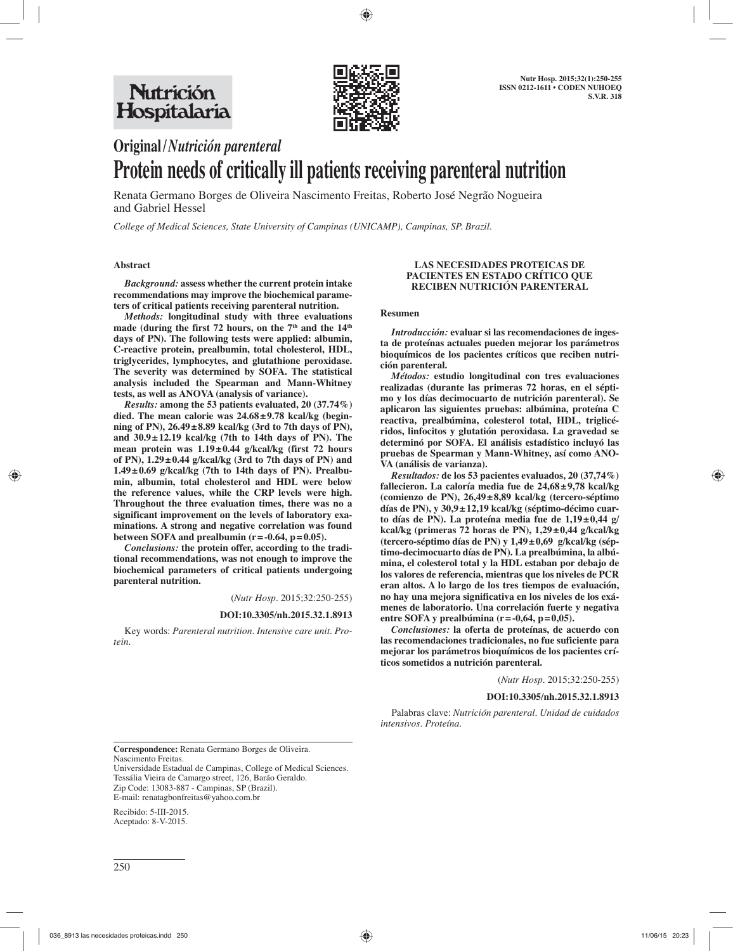

# **Original /** *Nutrición parenteral* **Protein needs of critically ill patients receiving parenteral nutrition**

Renata Germano Borges de Oliveira Nascimento Freitas, Roberto José Negrão Nogueira and Gabriel Hessel

*College of Medical Sciences, State University of Campinas (UNICAMP), Campinas, SP. Brazil.*

# **Abstract**

*Background:* **assess whether the current protein intake recommendations may improve the biochemical parameters of critical patients receiving parenteral nutrition.** 

*Methods:* **longitudinal study with three evaluations**  made (during the first 72 hours, on the 7<sup>th</sup> and the 14<sup>th</sup> **days of PN). The following tests were applied: albumin, C-reactive protein, prealbumin, total cholesterol, HDL, triglycerides, lymphocytes, and glutathione peroxidase. The severity was determined by SOFA. The statistical analysis included the Spearman and Mann-Whitney tests, as well as ANOVA (analysis of variance).** 

*Results:* **among the 53 patients evaluated, 20 (37.74%) died. The mean calorie was 24.68 ± 9.78 kcal/kg (beginning of PN), 26.49 ± 8.89 kcal/kg (3rd to 7th days of PN), and 30.9 ± 12.19 kcal/kg (7th to 14th days of PN). The mean protein was 1.19 ± 0.44 g/kcal/kg (first 72 hours of PN), 1.29 ± 0.44 g/kcal/kg (3rd to 7th days of PN) and 1.49 ± 0.69 g/kcal/kg (7th to 14th days of PN). Prealbumin, albumin, total cholesterol and HDL were below the reference values, while the CRP levels were high. Throughout the three evaluation times, there was no a significant improvement on the levels of laboratory examinations. A strong and negative correlation was found**  between SOFA and prealbumin  $(r = -0.64, p = 0.05)$ .

*Conclusions:* **the protein offer, according to the traditional recommendations, was not enough to improve the biochemical parameters of critical patients undergoing parenteral nutrition.** 

(*Nutr Hosp.* 2015;32:250-255)

# **DOI:10.3305/nh.2015.32.1.8913**

Key words: *Parenteral nutrition. Intensive care unit. Protein.*

## **LAS NECESIDADES PROTEICAS DE PACIENTES EN ESTADO CRÍTICO QUE RECIBEN NUTRICIÓN PARENTERAL**

### **Resumen**

*Introducción:* **evaluar si las recomendaciones de ingesta de proteínas actuales pueden mejorar los parámetros bioquímicos de los pacientes críticos que reciben nutrición parenteral.** 

*Métodos:* **estudio longitudinal con tres evaluaciones realizadas (durante las primeras 72 horas, en el séptimo y los días decimocuarto de nutrición parenteral). Se aplicaron las siguientes pruebas: albúmina, proteína C**  reactiva, prealbúmina, colesterol total, HDL, triglicé**ridos, linfocitos y glutatión peroxidasa. La gravedad se determinó por SOFA. El análisis estadístico incluyó las pruebas de Spearman y Mann-Whitney, así como ANO-VA (análisis de varianza).** 

*Resultados:* **de los 53 pacientes evaluados, 20 (37,74%) fallecieron. La caloría media fue de 24,68 ± 9,78 kcal/kg (comienzo de PN), 26,49 ± 8,89 kcal/kg (tercero-séptimo días de PN), y 30,9 ± 12,19 kcal/kg (séptimo-décimo cuarto días de PN). La proteína media fue de 1,19 ± 0,44 g/ kcal/kg (primeras 72 horas de PN), 1,29 ± 0,44 g/kcal/kg (tercero-séptimo días de PN) y 1,49 ± 0,69 g/kcal/kg (séptimo-decimocuarto días de PN). La prealbúmina, la albúmina, el colesterol total y la HDL estaban por debajo de los valores de referencia, mientras que los niveles de PCR eran altos. A lo largo de los tres tiempos de evaluación, no hay una mejora significativa en los niveles de los exámenes de laboratorio. Una correlación fuerte y negativa entre SOFA y prealbúmina (r = -0,64, p = 0,05).** 

*Conclusiones:* **la oferta de proteínas, de acuerdo con las recomendaciones tradicionales, no fue suficiente para mejorar los parámetros bioquímicos de los pacientes críticos sometidos a nutrición parenteral.**

(*Nutr Hosp.* 2015;32:250-255)

### **DOI:10.3305/nh.2015.32.1.8913**

Palabras clave: *Nutrición parenteral. Unidad de cuidados intensivos. Proteína.*

**Correspondence:** Renata Germano Borges de Oliveira. Nascimento Freitas.

Universidade Estadual de Campinas, College of Medical Sciences. Tessália Vieira de Camargo street, 126, Barão Geraldo. Zip Code: 13083-887 - Campinas, SP (Brazil). E-mail: renatagbonfreitas@yahoo.com.br

Recibido: 5-III-2015. Aceptado: 8-V-2015.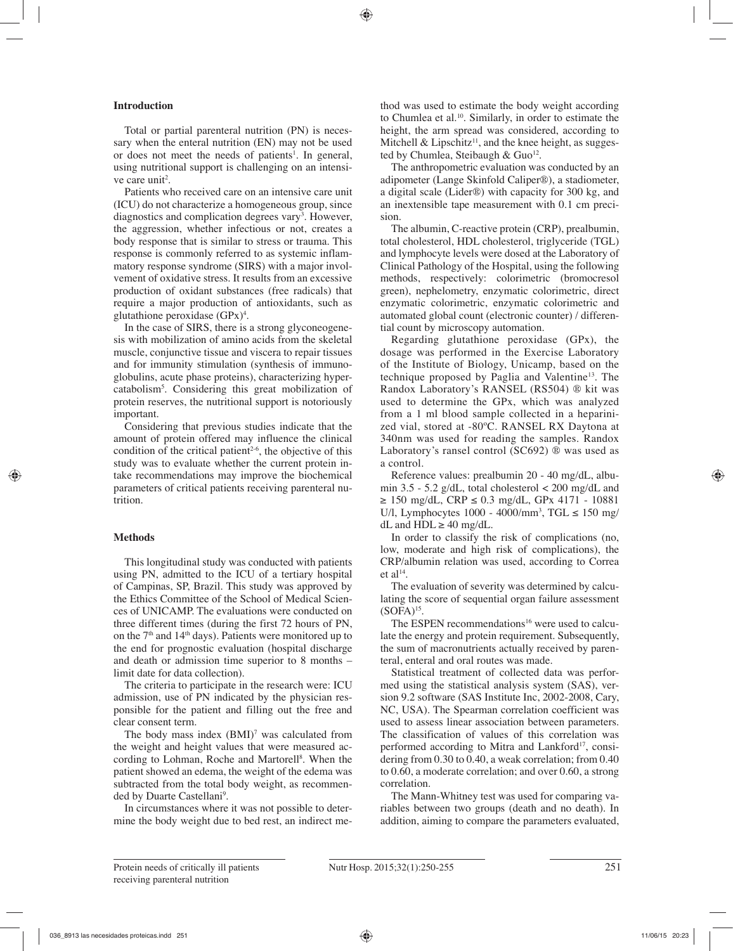# **Introduction**

Total or partial parenteral nutrition (PN) is necessary when the enteral nutrition (EN) may not be used or does not meet the needs of patients<sup>1</sup>. In general, using nutritional support is challenging on an intensive care unit<sup>2</sup>.

Patients who received care on an intensive care unit (ICU) do not characterize a homogeneous group, since diagnostics and complication degrees vary<sup>3</sup>. However, the aggression, whether infectious or not, creates a body response that is similar to stress or trauma. This response is commonly referred to as systemic inflammatory response syndrome (SIRS) with a major involvement of oxidative stress. It results from an excessive production of oxidant substances (free radicals) that require a major production of antioxidants, such as glutathione peroxidase  $(GPx)^4$ .

In the case of SIRS, there is a strong glyconeogenesis with mobilization of amino acids from the skeletal muscle, conjunctive tissue and viscera to repair tissues and for immunity stimulation (synthesis of immunoglobulins, acute phase proteins), characterizing hypercatabolism5 . Considering this great mobilization of protein reserves, the nutritional support is notoriously important.

Considering that previous studies indicate that the amount of protein offered may influence the clinical condition of the critical patient<sup>2-6</sup>, the objective of this study was to evaluate whether the current protein intake recommendations may improve the biochemical parameters of critical patients receiving parenteral nutrition.

# **Methods**

This longitudinal study was conducted with patients using PN, admitted to the ICU of a tertiary hospital of Campinas, SP, Brazil. This study was approved by the Ethics Committee of the School of Medical Sciences of UNICAMP. The evaluations were conducted on three different times (during the first 72 hours of PN, on the  $7<sup>th</sup>$  and  $14<sup>th</sup>$  days). Patients were monitored up to the end for prognostic evaluation (hospital discharge and death or admission time superior to 8 months – limit date for data collection).

The criteria to participate in the research were: ICU admission, use of PN indicated by the physician responsible for the patient and filling out the free and clear consent term.

The body mass index  $(BMI)^7$  was calculated from the weight and height values that were measured according to Lohman, Roche and Martorell<sup>8</sup>. When the patient showed an edema, the weight of the edema was subtracted from the total body weight, as recommended by Duarte Castellani<sup>9</sup>.

In circumstances where it was not possible to determine the body weight due to bed rest, an indirect method was used to estimate the body weight according to Chumlea et al.<sup>10</sup>. Similarly, in order to estimate the height, the arm spread was considered, according to Mitchell & Lipschitz<sup>11</sup>, and the knee height, as suggested by Chumlea, Steibaugh & Guo<sup>12</sup>.

The anthropometric evaluation was conducted by an adipometer (Lange Skinfold Caliper®), a stadiometer, a digital scale (Lider®) with capacity for 300 kg, and an inextensible tape measurement with 0.1 cm precision.

The albumin, C-reactive protein (CRP), prealbumin, total cholesterol, HDL cholesterol, triglyceride (TGL) and lymphocyte levels were dosed at the Laboratory of Clinical Pathology of the Hospital, using the following methods, respectively: colorimetric (bromocresol green), nephelometry, enzymatic colorimetric, direct enzymatic colorimetric, enzymatic colorimetric and automated global count (electronic counter) / differential count by microscopy automation.

Regarding glutathione peroxidase (GPx), the dosage was performed in the Exercise Laboratory of the Institute of Biology, Unicamp, based on the technique proposed by Paglia and Valentine13. The Randox Laboratory's RANSEL (RS504) ® kit was used to determine the GPx, which was analyzed from a 1 ml blood sample collected in a heparinized vial, stored at -80ºC. RANSEL RX Daytona at 340nm was used for reading the samples. Randox Laboratory's ransel control (SC692) ® was used as a control.

Reference values: prealbumin 20 - 40 mg/dL, albumin  $3.5 - 5.2$  g/dL, total cholesterol  $\lt$  200 mg/dL and ≥ 150 mg/dL, CRP ≤ 0.3 mg/dL, GPx 4171 - 10881 U/l, Lymphocytes 1000 - 4000/mm<sup>3</sup>, TGL ≤ 150 mg/ dL and  $HDL \geq 40$  mg/dL.

In order to classify the risk of complications (no, low, moderate and high risk of complications), the CRP/albumin relation was used, according to Correa et al $14$ .

The evaluation of severity was determined by calculating the score of sequential organ failure assessment  $(SOPA)<sup>15</sup>$ .

The ESPEN recommendations<sup>16</sup> were used to calculate the energy and protein requirement. Subsequently, the sum of macronutrients actually received by parenteral, enteral and oral routes was made.

Statistical treatment of collected data was performed using the statistical analysis system (SAS), version 9.2 software (SAS Institute Inc, 2002-2008, Cary, NC, USA). The Spearman correlation coefficient was used to assess linear association between parameters. The classification of values of this correlation was performed according to Mitra and Lankford<sup>17</sup>, considering from 0.30 to 0.40, a weak correlation; from 0.40 to 0.60, a moderate correlation; and over 0.60, a strong correlation.

The Mann-Whitney test was used for comparing variables between two groups (death and no death). In addition, aiming to compare the parameters evaluated,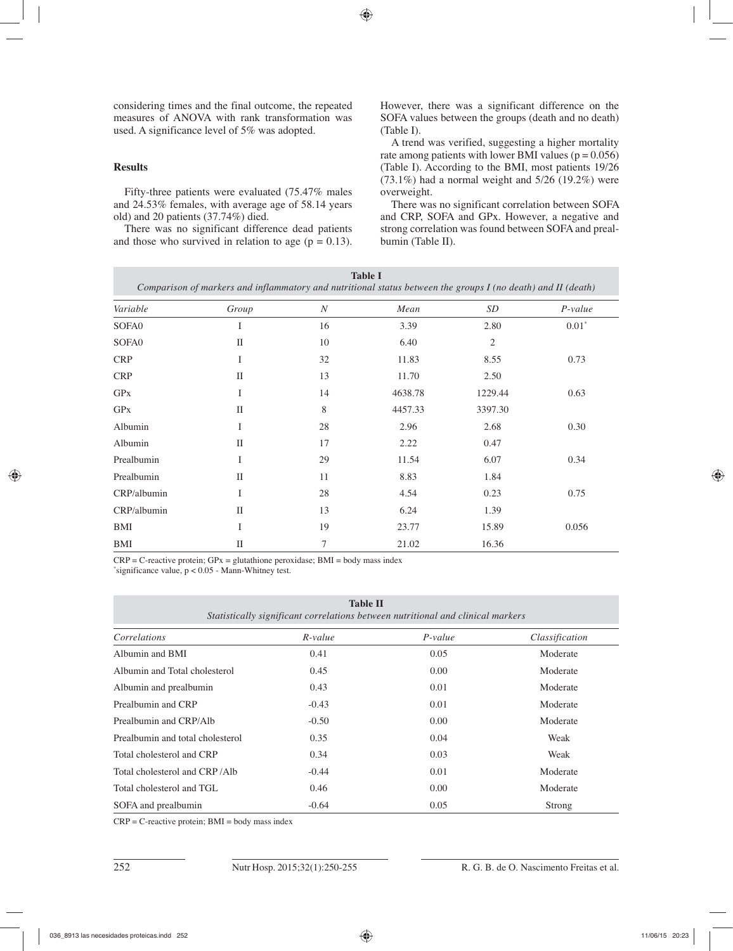considering times and the final outcome, the repeated measures of ANOVA with rank transformation was used. A significance level of 5% was adopted.

# **Results**

Fifty-three patients were evaluated (75.47% males and 24.53% females, with average age of 58.14 years old) and 20 patients (37.74%) died.

There was no significant difference dead patients and those who survived in relation to age ( $p = 0.13$ ). However, there was a significant difference on the SOFA values between the groups (death and no death) (Table I).

A trend was verified, suggesting a higher mortality rate among patients with lower BMI values ( $p = 0.056$ ) (Table I). According to the BMI, most patients 19/26  $(73.1\%)$  had a normal weight and  $5/26$   $(19.2\%)$  were overweight.

There was no significant correlation between SOFA and CRP, SOFA and GPx. However, a negative and strong correlation was found between SOFA and prealbumin (Table II).

| <b>Table I</b><br>Comparison of markers and inflammatory and nutritional status between the groups I (no death) and II (death) |              |                  |         |         |           |  |  |  |
|--------------------------------------------------------------------------------------------------------------------------------|--------------|------------------|---------|---------|-----------|--|--|--|
| Variable                                                                                                                       | Group        | $\boldsymbol{N}$ | Mean    | SD      | $P-value$ |  |  |  |
| SOFA0                                                                                                                          | I            | 16               | 3.39    | 2.80    | $0.01*$   |  |  |  |
| SOFA0                                                                                                                          | $\mathbf{I}$ | 10               | 6.40    | 2       |           |  |  |  |
| <b>CRP</b>                                                                                                                     | I            | 32               | 11.83   | 8.55    | 0.73      |  |  |  |
| <b>CRP</b>                                                                                                                     | $_{\rm II}$  | 13               | 11.70   | 2.50    |           |  |  |  |
| <b>GP<sub>x</sub></b>                                                                                                          | I            | 14               | 4638.78 | 1229.44 | 0.63      |  |  |  |
| <b>GP<sub>x</sub></b>                                                                                                          | $\mathbf{I}$ | 8                | 4457.33 | 3397.30 |           |  |  |  |
| Albumin                                                                                                                        | I            | 28               | 2.96    | 2.68    | 0.30      |  |  |  |
| Albumin                                                                                                                        | $_{\rm II}$  | 17               | 2.22    | 0.47    |           |  |  |  |
| Prealbumin                                                                                                                     | I            | 29               | 11.54   | 6.07    | 0.34      |  |  |  |
| Prealbumin                                                                                                                     | $\mathbf{I}$ | 11               | 8.83    | 1.84    |           |  |  |  |
| CRP/albumin                                                                                                                    | I            | 28               | 4.54    | 0.23    | 0.75      |  |  |  |
| CRP/albumin                                                                                                                    | $\mathbf{I}$ | 13               | 6.24    | 1.39    |           |  |  |  |
| BMI                                                                                                                            | I            | 19               | 23.77   | 15.89   | 0.056     |  |  |  |
| BMI                                                                                                                            | $\mathbf{I}$ | 7                | 21.02   | 16.36   |           |  |  |  |

 $CRP = C$ -reactive protein;  $GPx = glutathione peroxidase$ ;  $BMI = body mass index$ 

\* significance value, p < 0.05 - Mann-Whitney test.

**Table II** 

*Statistically significant correlations between nutritional and clinical markers*

| Correlations                     | $R$ -value | $P-value$ | Classification |
|----------------------------------|------------|-----------|----------------|
| Albumin and BMI                  | 0.41       | 0.05      | Moderate       |
| Albumin and Total cholesterol    | 0.45       | 0.00      | Moderate       |
| Albumin and prealbumin           | 0.43       | 0.01      | Moderate       |
| Prealbumin and CRP               | $-0.43$    | 0.01      | Moderate       |
| Prealbumin and CRP/Alb           | $-0.50$    | 0.00      | Moderate       |
| Prealbumin and total cholesterol | 0.35       | 0.04      | Weak           |
| Total cholesterol and CRP        | 0.34       | 0.03      | Weak           |
| Total cholesterol and CRP/Alb    | $-0.44$    | 0.01      | Moderate       |
| Total cholesterol and TGL        | 0.46       | 0.00      | Moderate       |
| SOFA and prealbumin              | $-0.64$    | 0.05      | Strong         |

 $CRP = C$ -reactive protein;  $BMI = body$  mass index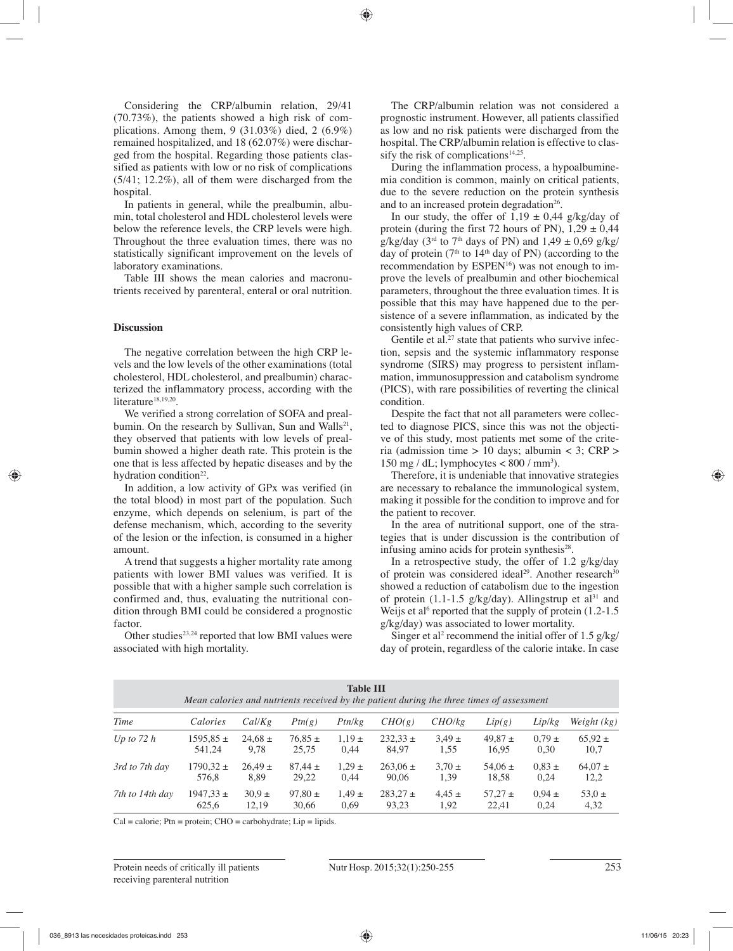Considering the CRP/albumin relation, 29/41 (70.73%), the patients showed a high risk of complications. Among them, 9 (31.03%) died, 2 (6.9%) remained hospitalized, and 18 (62.07%) were discharged from the hospital. Regarding those patients classified as patients with low or no risk of complications (5/41; 12.2%), all of them were discharged from the hospital.

In patients in general, while the prealbumin, albumin, total cholesterol and HDL cholesterol levels were below the reference levels, the CRP levels were high. Throughout the three evaluation times, there was no statistically significant improvement on the levels of laboratory examinations.

Table III shows the mean calories and macronutrients received by parenteral, enteral or oral nutrition.

# **Discussion**

The negative correlation between the high CRP levels and the low levels of the other examinations (total cholesterol, HDL cholesterol, and prealbumin) characterized the inflammatory process, according with the literature<sup>18,19,20</sup>.

We verified a strong correlation of SOFA and prealbumin. On the research by Sullivan, Sun and Walls<sup>21</sup>, they observed that patients with low levels of prealbumin showed a higher death rate. This protein is the one that is less affected by hepatic diseases and by the hydration condition<sup>22</sup>.

In addition, a low activity of GPx was verified (in the total blood) in most part of the population. Such enzyme, which depends on selenium, is part of the defense mechanism, which, according to the severity of the lesion or the infection, is consumed in a higher amount.

A trend that suggests a higher mortality rate among patients with lower BMI values was verified. It is possible that with a higher sample such correlation is confirmed and, thus, evaluating the nutritional condition through BMI could be considered a prognostic factor.

Other studies $2^{3,24}$  reported that low BMI values were associated with high mortality.

The CRP/albumin relation was not considered a prognostic instrument. However, all patients classified as low and no risk patients were discharged from the hospital. The CRP/albumin relation is effective to classify the risk of complications $14,25$ .

During the inflammation process, a hypoalbuminemia condition is common, mainly on critical patients, due to the severe reduction on the protein synthesis and to an increased protein degradation<sup>26</sup>.

In our study, the offer of  $1,19 \pm 0,44$  g/kg/day of protein (during the first 72 hours of PN),  $1,29 \pm 0,44$ g/kg/day ( $3<sup>rd</sup>$  to  $7<sup>th</sup>$  days of PN) and  $1,49 \pm 0,69$  g/kg/ day of protein ( $7<sup>th</sup>$  to  $14<sup>th</sup>$  day of PN) (according to the recommendation by ESPEN<sup>16</sup>) was not enough to improve the levels of prealbumin and other biochemical parameters, throughout the three evaluation times. It is possible that this may have happened due to the persistence of a severe inflammation, as indicated by the consistently high values of CRP.

Gentile et al.<sup>27</sup> state that patients who survive infection, sepsis and the systemic inflammatory response syndrome (SIRS) may progress to persistent inflammation, immunosuppression and catabolism syndrome (PICS), with rare possibilities of reverting the clinical condition.

Despite the fact that not all parameters were collected to diagnose PICS, since this was not the objective of this study, most patients met some of the criteria (admission time  $> 10$  days; albumin  $<$  3; CRP  $>$ 150 mg / dL; lymphocytes  $< 800 / \text{mm}^3$ ).

Therefore, it is undeniable that innovative strategies are necessary to rebalance the immunological system, making it possible for the condition to improve and for the patient to recover.

In the area of nutritional support, one of the strategies that is under discussion is the contribution of infusing amino acids for protein synthesis $28$ .

In a retrospective study, the offer of  $1.2$  g/kg/day of protein was considered ideal<sup>29</sup>. Another research<sup>30</sup> showed a reduction of catabolism due to the ingestion of protein (1.1-1.5 g/kg/day). Allingstrup et al<sup>31</sup> and Weijs et al<sup>6</sup> reported that the supply of protein  $(1.2-1.5)$ g/kg/day) was associated to lower mortality.

Singer et al<sup>2</sup> recommend the initial offer of 1.5  $g/kg/$ day of protein, regardless of the calorie intake. In case

| <b>Table III</b><br>Mean calories and nutrients received by the patient during the three times of assessment |               |             |             |            |              |            |             |            |             |
|--------------------------------------------------------------------------------------------------------------|---------------|-------------|-------------|------------|--------------|------------|-------------|------------|-------------|
| Time                                                                                                         | Calories      | Cal/Kg      | Ptn(g)      | Ptn/kg     | CHO(g)       | CHO/kg     | Lip(g)      | Lip/kg     | Weight (kg) |
| Up to $72h$                                                                                                  | $1595.85 \pm$ | $24.68 \pm$ | $76,85 \pm$ | $1,19 \pm$ | $232,33 \pm$ | $3.49 \pm$ | $49,87 \pm$ | $0.79 \pm$ | $65,92 \pm$ |
|                                                                                                              | 541.24        | 9,78        | 25,75       | 0.44       | 84,97        | 1,55       | 16,95       | 0,30       | 10,7        |
| 3rd to 7th day                                                                                               | $1790.32 \pm$ | $26.49 \pm$ | $87,44 \pm$ | $1.29 \pm$ | $263.06 \pm$ | $3.70 \pm$ | $54.06 \pm$ | $0.83 \pm$ | $64.07 \pm$ |
|                                                                                                              | 576,8         | 8,89        | 29,22       | 0.44       | 90,06        | 1,39       | 18,58       | 0.24       | 12,2        |
| 7th to 14th day                                                                                              | $1947,33 \pm$ | $30.9 \pm$  | $97,80 \pm$ | $1.49 \pm$ | $283.27 \pm$ | $4.45 \pm$ | $57.27 \pm$ | $0.94 \pm$ | $53.0 \pm$  |
|                                                                                                              | 625,6         | 12,19       | 30,66       | 0.69       | 93.23        | 1.92       | 22.41       | 0.24       | 4,32        |

 $Cal = calorie$ ;  $Ptn = protein$ ;  $CHO = carbohydrate$ ;  $Lip = lipids$ .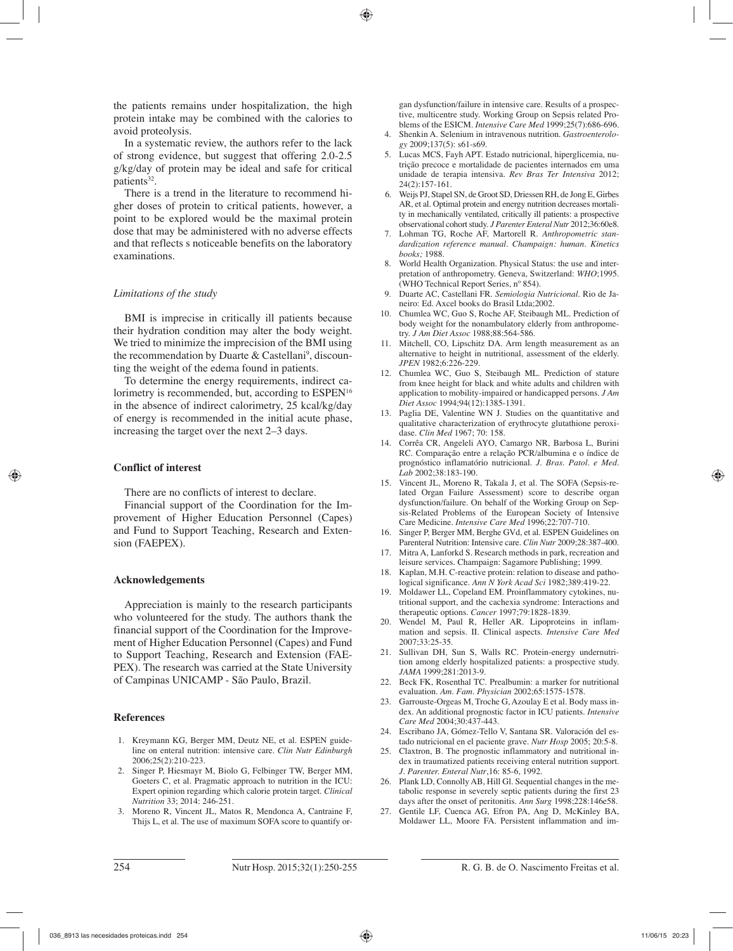the patients remains under hospitalization, the high protein intake may be combined with the calories to avoid proteolysis.

In a systematic review, the authors refer to the lack of strong evidence, but suggest that offering 2.0-2.5 g/kg/day of protein may be ideal and safe for critical patients<sup>32</sup>.

There is a trend in the literature to recommend higher doses of protein to critical patients, however, a point to be explored would be the maximal protein dose that may be administered with no adverse effects and that reflects s noticeable benefits on the laboratory examinations.

# *Limitations of the study*

BMI is imprecise in critically ill patients because their hydration condition may alter the body weight. We tried to minimize the imprecision of the BMI using the recommendation by Duarte & Castellani<sup>9</sup>, discounting the weight of the edema found in patients.

To determine the energy requirements, indirect calorimetry is recommended, but, according to ESPEN<sup>16</sup> in the absence of indirect calorimetry, 25 kcal/kg/day of energy is recommended in the initial acute phase, increasing the target over the next 2–3 days.

# **Conflict of interest**

There are no conflicts of interest to declare.

Financial support of the Coordination for the Improvement of Higher Education Personnel (Capes) and Fund to Support Teaching, Research and Extension (FAEPEX).

# **Acknowledgements**

Appreciation is mainly to the research participants who volunteered for the study. The authors thank the financial support of the Coordination for the Improvement of Higher Education Personnel (Capes) and Fund to Support Teaching, Research and Extension (FAE-PEX). The research was carried at the State University of Campinas UNICAMP - São Paulo, Brazil.

# **References**

- 1. Kreymann KG, Berger MM, Deutz NE, et al. ESPEN guideline on enteral nutrition: intensive care. *Clin Nutr Edinburgh* 2006;25(2):210-223.
- 2. Singer P, Hiesmayr M, Biolo G, Felbinger TW, Berger MM, Goeters C, et al. Pragmatic approach to nutrition in the ICU: Expert opinion regarding which calorie protein target. *Clinical Nutrition* 33; 2014: 246-251.
- 3. Moreno R, Vincent JL, Matos R, Mendonca A, Cantraine F, Thijs L, et al. The use of maximum SOFA score to quantify or-

gan dysfunction/failure in intensive care. Results of a prospective, multicentre study. Working Group on Sepsis related Problems of the ESICM. *Intensive Care Med* 1999;25(7):686-696.

- 4. Shenkin A. Selenium in intravenous nutrition. *Gastroenterology* 2009;137(5): s61-s69.
- 5. Lucas MCS, Fayh APT. Estado nutricional, hiperglicemia, nutrição precoce e mortalidade de pacientes internados em uma unidade de terapia intensiva. *Rev Bras Ter Intensiva* 2012; 24(2):157-161.
- 6. Weijs PJ, Stapel SN, de Groot SD, Driessen RH, de Jong E, Girbes AR, et al. Optimal protein and energy nutrition decreases mortality in mechanically ventilated, critically ill patients: a prospective observational cohort study. *J Parenter Enteral Nutr* 2012;36:60e8.
- 7. Lohman TG, Roche AF, Martorell R. *Anthropometric standardization reference manual. Champaign: human. Kinetics books;* 1988.
- 8. World Health Organization. Physical Status: the use and interpretation of anthropometry. Geneva, Switzerland: *WHO*;1995. (WHO Technical Report Series, nº 854).
- 9. Duarte AC, Castellani FR. *Semiologia Nutricional.* Rio de Janeiro: Ed. Axcel books do Brasil Ltda;2002.
- 10. Chumlea WC, Guo S, Roche AF, Steibaugh ML. Prediction of body weight for the nonambulatory elderly from anthropometry. *J Am Diet Assoc* 1988;88:564-586.
- 11. Mitchell, CO, Lipschitz DA. Arm length measurement as an alternative to height in nutritional, assessment of the elderly. *JPEN* 1982;6:226-229.
- 12. Chumlea WC, Guo S, Steibaugh ML. Prediction of stature from knee height for black and white adults and children with application to mobility-impaired or handicapped persons. *J Am Diet Assoc* 1994;94(12):1385-1391.
- 13. Paglia DE, Valentine WN J. Studies on the quantitative and qualitative characterization of erythrocyte glutathione peroxidase. *Clin Med* 1967; 70: 158.
- 14. Corrêa CR, Angeleli AYO, Camargo NR, Barbosa L, Burini RC. Comparação entre a relação PCR/albumina e o índice de prognóstico inflamatório nutricional. *J. Bras. Patol. e Med. Lab* 2002;38:183-190.
- 15. Vincent JL, Moreno R, Takala J, et al. The SOFA (Sepsis-related Organ Failure Assessment) score to describe organ dysfunction/failure. On behalf of the Working Group on Sepsis-Related Problems of the European Society of Intensive Care Medicine. *Intensive Care Med* 1996;22:707-710.
- 16. Singer P, Berger MM, Berghe GVd, et al. ESPEN Guidelines on Parenteral Nutrition: Intensive care. *Clin Nutr* 2009;28:387-400.
- 17. Mitra A, Lanforkd S. Research methods in park, recreation and leisure services. Champaign: Sagamore Publishing; 1999.
- 18. Kaplan, M.H. C-reactive protein: relation to disease and pathological significance. *Ann N York Acad Sci* 1982;389:419-22.
- 19. Moldawer LL, Copeland EM. Proinflammatory cytokines, nutritional support, and the cachexia syndrome: Interactions and therapeutic options. *Cancer* 1997;79:1828-1839.
- 20. Wendel M, Paul R, Heller AR. Lipoproteins in inflammation and sepsis. II. Clinical aspects. *Intensive Care Med* 2007;33:25-35.
- 21. Sullivan DH, Sun S, Walls RC. Protein-energy undernutrition among elderly hospitalized patients: a prospective study. *JAMA* 1999;281:2013-9.
- 22. Beck FK, Rosenthal TC. Prealbumin: a marker for nutritional evaluation. *Am. Fam. Physician* 2002;65:1575-1578.
- 23. Garrouste-Orgeas M, Troche G, Azoulay E et al. Body mass index. An additional prognostic factor in ICU patients. *Intensive Care Med* 2004;30:437-443.
- 24. Escribano JA, Gómez-Tello V, Santana SR. Valoración del estado nutricional en el paciente grave. *Nutr Hosp* 2005; 20:5-8.
- 25. Claxtron, B. The prognostic inflammatory and nutritional index in traumatized patients receiving enteral nutrition support. *J. Parenter. Enteral Nutr*,16: 85-6, 1992.
- 26. Plank LD, Connolly AB, Hill Gl. Sequential changes in the metabolic response in severely septic patients during the first 23 days after the onset of peritonitis. *Ann Surg* 1998;228:146e58.
- Gentile LF, Cuenca AG, Efron PA, Ang D, McKinley BA, Moldawer LL, Moore FA. Persistent inflammation and im-